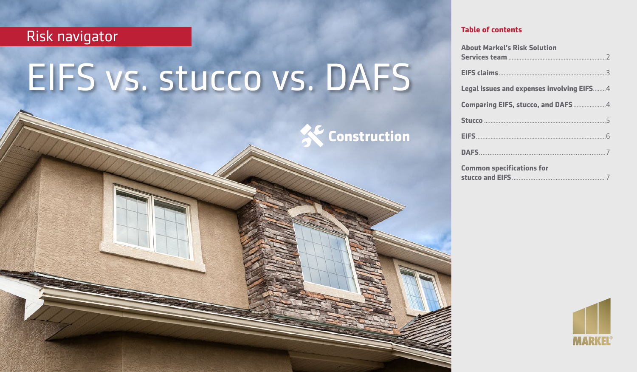# Risk navigator

March 2020

# EIFS vs. stucco vs. DAFS



**Table of contents**

**Construction**

**About Markel's Risk Solution** 

| <b>Common specifications for</b> |  |
|----------------------------------|--|
|                                  |  |
|                                  |  |

**stucco and EIFS**....................................................... 7

|  | $^{\circ}$ |  |
|--|------------|--|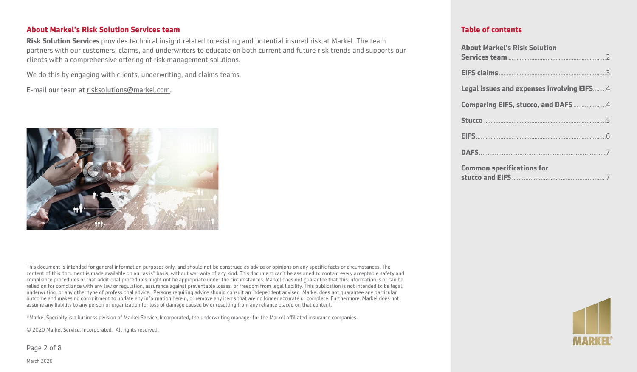### **About Markel's Risk Solution Services team**

**Risk Solution Services** provides technical insight related to existing and potential insured risk at Markel. The team partners with our customers, claims, and underwriters to educate on both current and future risk trends and supports our clients with a comprehensive offering of risk management solutions.

We do this by engaging with clients, underwriting, and claims teams.

E-mail our team at [risksolutions@markel.com](mailto:risksolutions@markel.com).



This document is intended for general information purposes only, and should not be construed as advice or opinions on any specific facts or circumstances. The content of this document is made available on an "as is" basis, without warranty of any kind. This document can't be assumed to contain every acceptable safety and compliance procedures or that additional procedures might not be appropriate under the circumstances. Markel does not guarantee that this information is or can be relied on for compliance with any law or regulation, assurance against preventable losses, or freedom from legal liability. This publication is not intended to be legal, underwriting, or any other type of professional advice. Persons requiring advice should consult an independent adviser. Markel does not guarantee any particular outcome and makes no commitment to update any information herein, or remove any items that are no longer accurate or complete. Furthermore, Markel does not assume any liability to any person or organization for loss of damage caused by or resulting from any reliance placed on that content.

\*Markel Specialty is a business division of Markel Service, Incorporated, the underwriting manager for the Markel affiliated insurance companies.

© 2020 Markel Service, Incorporated. All rights reserved.

Page 2 of 8

March 2020

| <b>About Markel's Risk Solution</b>       |
|-------------------------------------------|
|                                           |
|                                           |
| Legal issues and expenses involving EIFS4 |
| Comparing EIFS, stucco, and DAFS4         |
|                                           |
|                                           |
|                                           |
| <b>Common specifications for</b>          |

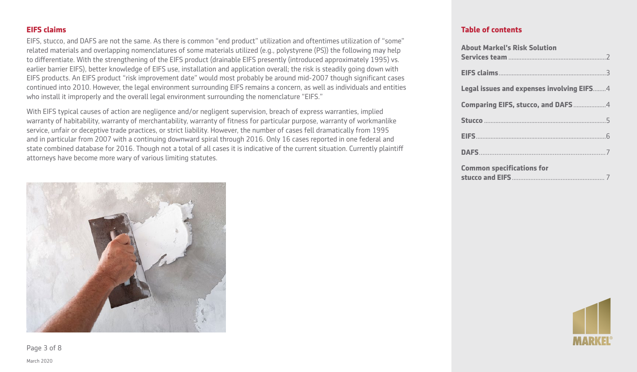EIFS, stucco, and DAFS are not the same. As there is common "end product" utilization and oftentimes utilization of "some" related materials and overlapping nomenclatures of some materials utilized (e.g., polystyrene (PS)) the following may help to differentiate. With the strengthening of the EIFS product (drainable EIFS presently (introduced approximately 1995) vs. earlier barrier EIFS), better knowledge of EIFS use, installation and application overall; the risk is steadily going down with EIFS products. An EIFS product "risk improvement date" would most probably be around mid-2007 though significant cases continued into 2010. However, the legal environment surrounding EIFS remains a concern, as well as individuals and entities who install it improperly and the overall legal environment surrounding the nomenclature "EIFS."

With EIFS typical causes of action are negligence and/or negligent supervision, breach of express warranties, implied warranty of habitability, warranty of merchantability, warranty of fitness for particular purpose, warranty of workmanlike service, unfair or deceptive trade practices, or strict liability. However, the number of cases fell dramatically from 1995 and in particular from 2007 with a continuing downward spiral through 2016. Only 16 cases reported in one federal and state combined database for 2016. Though not a total of all cases it is indicative of the current situation. Currently plaintiff attorneys have become more wary of various limiting statutes.



**Table of contents**

| <b>About Markel's Risk Solution</b>       |
|-------------------------------------------|
|                                           |
|                                           |
| Legal issues and expenses involving EIFS4 |
| Comparing EIFS, stucco, and DAFS4         |
|                                           |
|                                           |
|                                           |
| <b>Common specifications for</b>          |



Page 3 of 8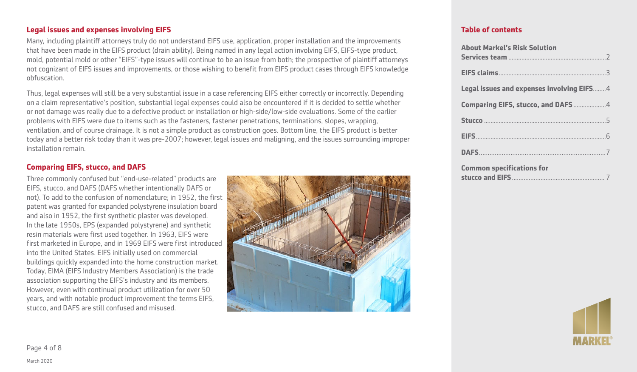### **Legal issues and expenses involving EIFS**

Many, including plaintiff attorneys truly do not understand EIFS use, application, proper installation and the improvements that have been made in the EIFS product (drain ability). Being named in any legal action involving EIFS, EIFS-type product, mold, potential mold or other "EIFS"-type issues will continue to be an issue from both; the prospective of plaintiff attorneys not cognizant of EIFS issues and improvements, or those wishing to benefit from EIFS product cases through EIFS knowledge obfuscation.

Thus, legal expenses will still be a very substantial issue in a case referencing EIFS either correctly or incorrectly. Depending on a claim representative's position, substantial legal expenses could also be encountered if it is decided to settle whether or not damage was really due to a defective product or installation or high-side/low-side evaluations. Some of the earlier problems with EIFS were due to items such as the fasteners, fastener penetrations, terminations, slopes, wrapping, ventilation, and of course drainage. It is not a simple product as construction goes. Bottom line, the EIFS product is better today and a better risk today than it was pre-2007; however, legal issues and maligning, and the issues surrounding improper installation remain.

## **Comparing EIFS, stucco, and DAFS**

Three commonly confused but "end-use-related" products are EIFS, stucco, and DAFS (DAFS whether intentionally DAFS or not). To add to the confusion of nomenclature; in 1952, the first patent was granted for expanded polystyrene insulation board and also in 1952, the first synthetic plaster was developed. In the late 1950s, EPS (expanded polystyrene) and synthetic resin materials were first used together. In 1963, EIFS were first marketed in Europe, and in 1969 EIFS were first introduced into the United States. EIFS initially used on commercial buildings quickly expanded into the home construction market. Today, EIMA (EIFS Industry Members Association) is the trade association supporting the EIFS's industry and its members. However, even with continual product utilization for over 50 years, and with notable product improvement the terms EIFS, stucco, and DAFS are still confused and misused.



| <b>About Markel's Risk Solution</b>       |
|-------------------------------------------|
|                                           |
|                                           |
| Legal issues and expenses involving EIFS4 |
| <b>Comparing EIFS, stucco, and DAFS</b> 4 |
|                                           |
|                                           |
|                                           |
| <b>Common specifications for</b>          |

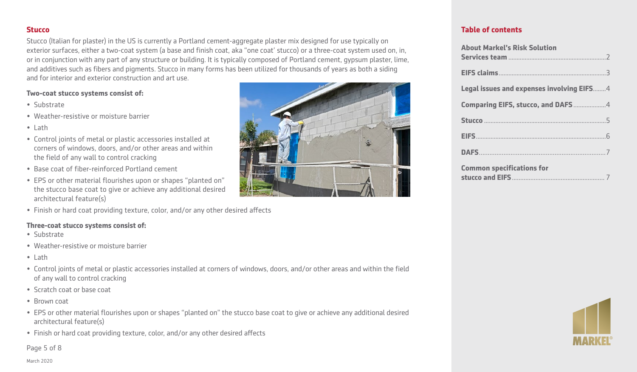#### **Stucco**

Stucco (Italian for plaster) in the US is currently a Portland cement-aggregate plaster mix designed for use typically on exterior surfaces, either a two-coat system (a base and finish coat, aka "one coat' stucco) or a three-coat system used on, in, or in conjunction with any part of any structure or building. It is typically composed of Portland cement, gypsum plaster, lime, and additives such as fibers and pigments. Stucco in many forms has been utilized for thousands of years as both a siding and for interior and exterior construction and art use.

#### **Two-coat stucco systems consist of:**

- Substrate
- Weather-resistive or moisture barrier
- Lath
- Control joints of metal or plastic accessories installed at corners of windows, doors, and/or other areas and within the field of any wall to control cracking
- Base coat of fiber-reinforced Portland cement
- EPS or other material flourishes upon or shapes "planted on" the stucco base coat to give or achieve any additional desired architectural feature(s)
- Finish or hard coat providing texture, color, and/or any other desired affects

#### **Three-coat stucco systems consist of:**

- Substrate
- Weather-resistive or moisture barrier
- Lath
- Control joints of metal or plastic accessories installed at corners of windows, doors, and/or other areas and within the field of any wall to control cracking
- Scratch coat or base coat
- Brown coat
- EPS or other material flourishes upon or shapes "planted on" the stucco base coat to give or achieve any additional desired architectural feature(s)
- Finish or hard coat providing texture, color, and/or any other desired affects

Page 5 of 8



| <b>About Markel's Risk Solution</b>       |  |
|-------------------------------------------|--|
|                                           |  |
|                                           |  |
| Legal issues and expenses involving EIFS4 |  |
| Comparing EIFS, stucco, and DAFS4         |  |
|                                           |  |
|                                           |  |
|                                           |  |
| <b>Common specifications for</b>          |  |

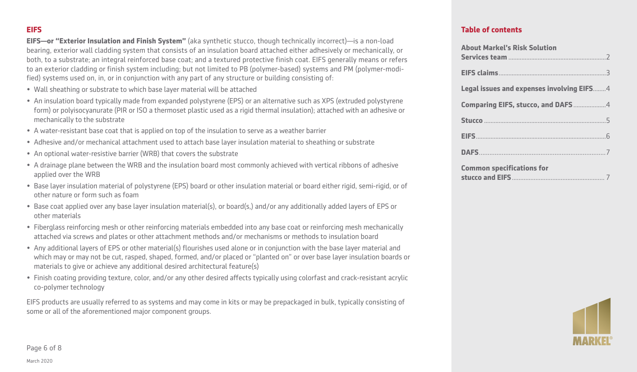#### **EIFS**

**EIFS—or "Exterior Insulation and Finish System"** (aka synthetic stucco, though technically incorrect)—is a non-load bearing, exterior wall cladding system that consists of an insulation board attached either adhesively or mechanically, or both, to a substrate; an integral reinforced base coat; and a textured protective finish coat. EIFS generally means or refers to an exterior cladding or finish system including; but not limited to PB (polymer-based) systems and PM (polymer-modified) systems used on, in, or in conjunction with any part of any structure or building consisting of:

- Wall sheathing or substrate to which base layer material will be attached
- An insulation board typically made from expanded polystyrene (EPS) or an alternative such as XPS (extruded polystyrene form) or polyisocyanurate (PIR or ISO a thermoset plastic used as a rigid thermal insulation); attached with an adhesive or mechanically to the substrate
- A water-resistant base coat that is applied on top of the insulation to serve as a weather barrier
- Adhesive and/or mechanical attachment used to attach base layer insulation material to sheathing or substrate
- An optional water-resistive barrier (WRB) that covers the substrate
- A drainage plane between the WRB and the insulation board most commonly achieved with vertical ribbons of adhesive applied over the WRB
- Base layer insulation material of polystyrene (EPS) board or other insulation material or board either rigid, semi-rigid, or of other nature or form such as foam
- Base coat applied over any base layer insulation material(s), or board(s,) and/or any additionally added layers of EPS or other materials
- Fiberglass reinforcing mesh or other reinforcing materials embedded into any base coat or reinforcing mesh mechanically attached via screws and plates or other attachment methods and/or mechanisms or methods to insulation board
- Any additional layers of EPS or other material(s) flourishes used alone or in conjunction with the base layer material and which may or may not be cut, rasped, shaped, formed, and/or placed or "planted on" or over base layer insulation boards or materials to give or achieve any additional desired architectural feature(s)
- Finish coating providing texture, color, and/or any other desired affects typically using colorfast and crack-resistant acrylic co-polymer technology

EIFS products are usually referred to as systems and may come in kits or may be prepackaged in bulk, typically consisting of some or all of the aforementioned major component groups.

#### **Table of contents**

| <b>About Markel's Risk Solution</b>       |  |
|-------------------------------------------|--|
|                                           |  |
| Legal issues and expenses involving EIFS4 |  |
| Comparing EIFS, stucco, and DAFS4         |  |
|                                           |  |
|                                           |  |
|                                           |  |
| <b>Common specifications for</b>          |  |



Page 6 of 8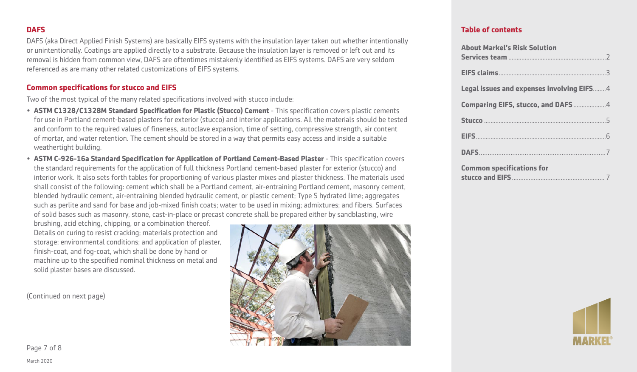DAFS (aka Direct Applied Finish Systems) are basically EIFS systems with the insulation layer taken out whether intentionally or unintentionally. Coatings are applied directly to a substrate. Because the insulation layer is removed or left out and its removal is hidden from common view, DAFS are oftentimes mistakenly identified as EIFS systems. DAFS are very seldom referenced as are many other related customizations of EIFS systems.

#### **Common specifications for stucco and EIFS**

Two of the most typical of the many related specifications involved with stucco include:

- **ASTM C1328/C1328M Standard Specification for Plastic (Stucco) Cement** This specification covers plastic cements for use in Portland cement-based plasters for exterior (stucco) and interior applications. All the materials should be tested and conform to the required values of fineness, autoclave expansion, time of setting, compressive strength, air content of mortar, and water retention. The cement should be stored in a way that permits easy access and inside a suitable weathertight building.
- **ASTM C-926-16a Standard Specification for Application of Portland Cement-Based Plaster** This specification covers the standard requirements for the application of full thickness Portland cement-based plaster for exterior (stucco) and interior work. It also sets forth tables for proportioning of various plaster mixes and plaster thickness. The materials used shall consist of the following: cement which shall be a Portland cement, air-entraining Portland cement, masonry cement, blended hydraulic cement, air-entraining blended hydraulic cement, or plastic cement; Type S hydrated lime; aggregates such as perlite and sand for base and job-mixed finish coats; water to be used in mixing; admixtures; and fibers. Surfaces of solid bases such as masonry, stone, cast-in-place or precast concrete shall be prepared either by sandblasting, wire

brushing, acid etching, chipping, or a combination thereof. Details on curing to resist cracking; materials protection and storage; environmental conditions; and application of plaster, finish-coat, and fog-coat, which shall be done by hand or machine up to the specified nominal thickness on metal and solid plaster bases are discussed.

(Continued on next page)



| <b>About Markel's Risk Solution</b>       |
|-------------------------------------------|
|                                           |
|                                           |
| Legal issues and expenses involving EIFS4 |
| Comparing EIFS, stucco, and DAFS4         |
|                                           |
|                                           |
|                                           |
| <b>Common specifications for</b>          |